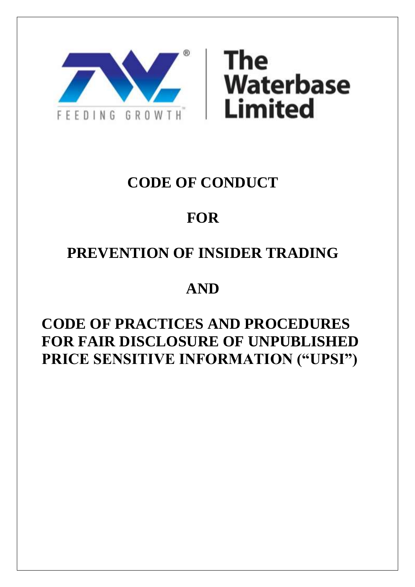



## **CODE OF CONDUCT**

# **FOR**

# **PREVENTION OF INSIDER TRADING**

## **AND**

## **CODE OF PRACTICES AND PROCEDURES FOR FAIR DISCLOSURE OF UNPUBLISHED PRICE SENSITIVE INFORMATION ("UPSI")**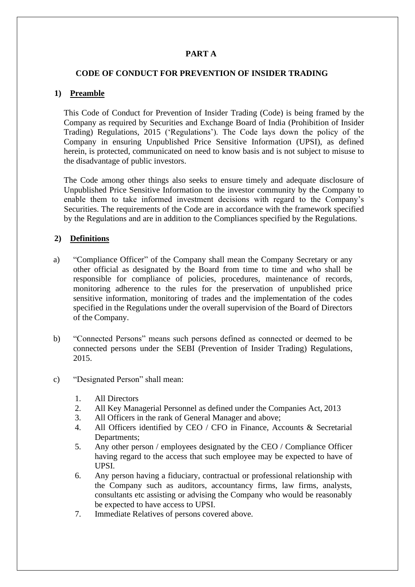## **PART A**

## **CODE OF CONDUCT FOR PREVENTION OF INSIDER TRADING**

## **1) Preamble**

This Code of Conduct for Prevention of Insider Trading (Code) is being framed by the Company as required by Securities and Exchange Board of India (Prohibition of Insider Trading) Regulations, 2015 ('Regulations'). The Code lays down the policy of the Company in ensuring Unpublished Price Sensitive Information (UPSI), as defined herein, is protected, communicated on need to know basis and is not subject to misuse to the disadvantage of public investors.

The Code among other things also seeks to ensure timely and adequate disclosure of Unpublished Price Sensitive Information to the investor community by the Company to enable them to take informed investment decisions with regard to the Company's Securities. The requirements of the Code are in accordance with the framework specified by the Regulations and are in addition to the Compliances specified by the Regulations.

#### **2) Definitions**

- a) "Compliance Officer" of the Company shall mean the Company Secretary or any other official as designated by the Board from time to time and who shall be responsible for compliance of policies, procedures, maintenance of records, monitoring adherence to the rules for the preservation of unpublished price sensitive information, monitoring of trades and the implementation of the codes specified in the Regulations under the overall supervision of the Board of Directors of the Company.
- b) "Connected Persons" means such persons defined as connected or deemed to be connected persons under the SEBI (Prevention of Insider Trading) Regulations, 2015.
- c) "Designated Person" shall mean:
	- 1. All Directors
	- 2. All Key Managerial Personnel as defined under the Companies Act, 2013
	- 3. All Officers in the rank of General Manager and above;
	- 4. All Officers identified by CEO / CFO in Finance, Accounts & Secretarial Departments;
	- 5. Any other person / employees designated by the CEO / Compliance Officer having regard to the access that such employee may be expected to have of UPSI.
	- 6. Any person having a fiduciary, contractual or professional relationship with the Company such as auditors, accountancy firms, law firms, analysts, consultants etc assisting or advising the Company who would be reasonably be expected to have access to UPSI.
	- 7. Immediate Relatives of persons covered above.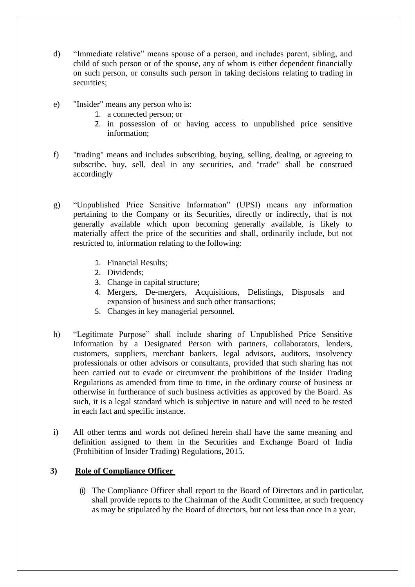- d) "Immediate relative" means spouse of a person, and includes parent, sibling, and child of such person or of the spouse, any of whom is either dependent financially on such person, or consults such person in taking decisions relating to trading in securities:
- e) "Insider" means any person who is:
	- 1. a connected person; or
	- 2. in possession of or having access to unpublished price sensitive information;
- f) "trading" means and includes subscribing, buying, selling, dealing, or agreeing to subscribe, buy, sell, deal in any securities, and "trade" shall be construed accordingly
- g) "Unpublished Price Sensitive Information" (UPSI) means any information pertaining to the Company or its Securities, directly or indirectly, that is not generally available which upon becoming generally available, is likely to materially affect the price of the securities and shall, ordinarily include, but not restricted to, information relating to the following:
	- 1. Financial Results;
	- 2. Dividends;
	- 3. Change in capital structure;
	- 4. Mergers, De-mergers, Acquisitions, Delistings, Disposals and expansion of business and such other transactions;
	- 5. Changes in key managerial personnel.
- h) "Legitimate Purpose" shall include sharing of Unpublished Price Sensitive Information by a Designated Person with partners, collaborators, lenders, customers, suppliers, merchant bankers, legal advisors, auditors, insolvency professionals or other advisors or consultants, provided that such sharing has not been carried out to evade or circumvent the prohibitions of the Insider Trading Regulations as amended from time to time, in the ordinary course of business or otherwise in furtherance of such business activities as approved by the Board. As such, it is a legal standard which is subjective in nature and will need to be tested in each fact and specific instance.
- i) All other terms and words not defined herein shall have the same meaning and definition assigned to them in the Securities and Exchange Board of India (Prohibition of Insider Trading) Regulations, 2015.

## **3) Role of Compliance Officer**

(i) The Compliance Officer shall report to the Board of Directors and in particular, shall provide reports to the Chairman of the Audit Committee, at such frequency as may be stipulated by the Board of directors, but not less than once in a year.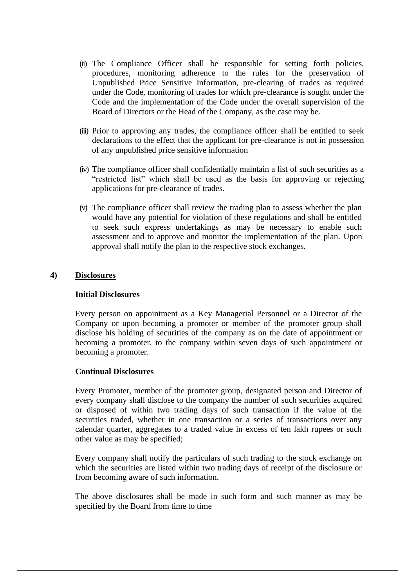- (ii) The Compliance Officer shall be responsible for setting forth policies, procedures, monitoring adherence to the rules for the preservation of Unpublished Price Sensitive Information, pre-clearing of trades as required under the Code, monitoring of trades for which pre-clearance is sought under the Code and the implementation of the Code under the overall supervision of the Board of Directors or the Head of the Company, as the case may be.
- (iii) Prior to approving any trades, the compliance officer shall be entitled to seek declarations to the effect that the applicant for pre-clearance is not in possession of any unpublished price sensitive information
- (iv) The compliance officer shall confidentially maintain a list of such securities as a "restricted list" which shall be used as the basis for approving or rejecting applications for pre-clearance of trades.
- (v) The compliance officer shall review the trading plan to assess whether the plan would have any potential for violation of these regulations and shall be entitled to seek such express undertakings as may be necessary to enable such assessment and to approve and monitor the implementation of the plan. Upon approval shall notify the plan to the respective stock exchanges.

#### **4) Disclosures**

#### **Initial Disclosures**

Every person on appointment as a Key Managerial Personnel or a Director of the Company or upon becoming a promoter or member of the promoter group shall disclose his holding of securities of the company as on the date of appointment or becoming a promoter, to the company within seven days of such appointment or becoming a promoter.

#### **Continual Disclosures**

Every Promoter, member of the promoter group, designated person and Director of every company shall disclose to the company the number of such securities acquired or disposed of within two trading days of such transaction if the value of the securities traded, whether in one transaction or a series of transactions over any calendar quarter, aggregates to a traded value in excess of ten lakh rupees or such other value as may be specified;

Every company shall notify the particulars of such trading to the stock exchange on which the securities are listed within two trading days of receipt of the disclosure or from becoming aware of such information.

The above disclosures shall be made in such form and such manner as may be specified by the Board from time to time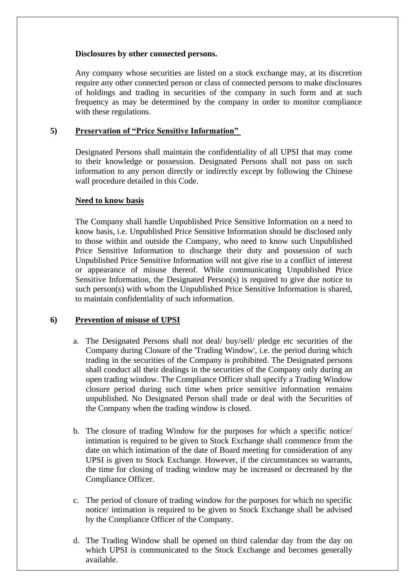#### **Disclosures by other connected persons.**

Any company whose securities are listed on a stock exchange may, at its discretion require any other connected person or class of connected persons to make disclosures of holdings and trading in securities of the company in such form and at such frequency as may be determined by the company in order to monitor compliance with these regulations.

## **5) Preservation of "Price Sensitive Information"**

Designated Persons shall maintain the confidentiality of all UPSI that may come to their knowledge or possession. Designated Persons shall not pass on such information to any person directly or indirectly except by following the Chinese wall procedure detailed in this Code.

## **Need to know basis**

The Company shall handle Unpublished Price Sensitive Information on a need to know basis, i.e. Unpublished Price Sensitive Information should be disclosed only to those within and outside the Company, who need to know such Unpublished Price Sensitive Information to discharge their duty and possession of such Unpublished Price Sensitive Information will not give rise to a conflict of interest or appearance of misuse thereof. While communicating Unpublished Price Sensitive Information, the Designated Person(s) is required to give due notice to such person(s) with whom the Unpublished Price Sensitive Information is shared, to maintain confidentiality of such information.

## **6) Prevention of misuse of UPSI**

- a. The Designated Persons shall not deal/ buy/sell/ pledge etc securities of the Company during Closure of the 'Trading Window', i.e. the period during which trading in the securities of the Company is prohibited. The Designated persons shall conduct all their dealings in the securities of the Company only during an open trading window. The Compliance Officer shall specify a Trading Window closure period during such time when price sensitive information remains unpublished. No Designated Person shall trade or deal with the Securities of the Company when the trading window is closed.
- b. The closure of trading Window for the purposes for which a specific notice/ intimation is required to be given to Stock Exchange shall commence from the date on which intimation of the date of Board meeting for consideration of any UPSI is given to Stock Exchange. However, if the circumstances so warrants, the time for closing of trading window may be increased or decreased by the Compliance Officer.
- c. The period of closure of trading window for the purposes for which no specific notice/ intimation is required to be given to Stock Exchange shall be advised by the Compliance Officer of the Company.
- d. The Trading Window shall be opened on third calendar day from the day on which UPSI is communicated to the Stock Exchange and becomes generally available.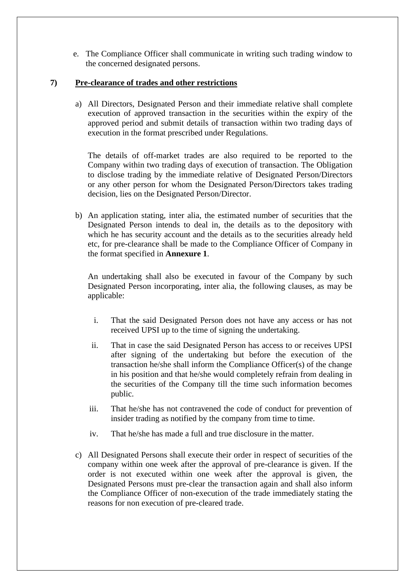e. The Compliance Officer shall communicate in writing such trading window to the concerned designated persons.

## **7) Pre-clearance of trades and other restrictions**

a) All Directors, Designated Person and their immediate relative shall complete execution of approved transaction in the securities within the expiry of the approved period and submit details of transaction within two trading days of execution in the format prescribed under Regulations.

The details of off-market trades are also required to be reported to the Company within two trading days of execution of transaction. The Obligation to disclose trading by the immediate relative of Designated Person/Directors or any other person for whom the Designated Person/Directors takes trading decision, lies on the Designated Person/Director.

b) An application stating, inter alia, the estimated number of securities that the Designated Person intends to deal in, the details as to the depository with which he has security account and the details as to the securities already held etc, for pre-clearance shall be made to the Compliance Officer of Company in the format specified in **Annexure 1**.

An undertaking shall also be executed in favour of the Company by such Designated Person incorporating, inter alia, the following clauses, as may be applicable:

- i. That the said Designated Person does not have any access or has not received UPSI up to the time of signing the undertaking.
- ii. That in case the said Designated Person has access to or receives UPSI after signing of the undertaking but before the execution of the transaction he/she shall inform the Compliance Officer(s) of the change in his position and that he/she would completely refrain from dealing in the securities of the Company till the time such information becomes public.
- iii. That he/she has not contravened the code of conduct for prevention of insider trading as notified by the company from time to time.
- iv. That he/she has made a full and true disclosure in the matter.
- c) All Designated Persons shall execute their order in respect of securities of the company within one week after the approval of pre-clearance is given. If the order is not executed within one week after the approval is given, the Designated Persons must pre-clear the transaction again and shall also inform the Compliance Officer of non-execution of the trade immediately stating the reasons for non execution of pre-cleared trade.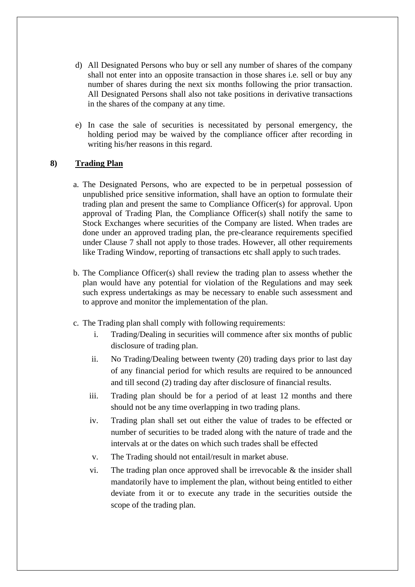- d) All Designated Persons who buy or sell any number of shares of the company shall not enter into an opposite transaction in those shares i.e. sell or buy any number of shares during the next six months following the prior transaction. All Designated Persons shall also not take positions in derivative transactions in the shares of the company at any time.
- e) In case the sale of securities is necessitated by personal emergency, the holding period may be waived by the compliance officer after recording in writing his/her reasons in this regard.

## **8) Trading Plan**

- a. The Designated Persons, who are expected to be in perpetual possession of unpublished price sensitive information, shall have an option to formulate their trading plan and present the same to Compliance Officer(s) for approval. Upon approval of Trading Plan, the Compliance Officer(s) shall notify the same to Stock Exchanges where securities of the Company are listed. When trades are done under an approved trading plan, the pre-clearance requirements specified under Clause 7 shall not apply to those trades. However, all other requirements like Trading Window, reporting of transactions etc shall apply to such trades.
- b. The Compliance Officer(s) shall review the trading plan to assess whether the plan would have any potential for violation of the Regulations and may seek such express undertakings as may be necessary to enable such assessment and to approve and monitor the implementation of the plan.
- c. The Trading plan shall comply with following requirements:
	- i. Trading/Dealing in securities will commence after six months of public disclosure of trading plan.
	- ii. No Trading/Dealing between twenty (20) trading days prior to last day of any financial period for which results are required to be announced and till second (2) trading day after disclosure of financial results.
	- iii. Trading plan should be for a period of at least 12 months and there should not be any time overlapping in two trading plans.
	- iv. Trading plan shall set out either the value of trades to be effected or number of securities to be traded along with the nature of trade and the intervals at or the dates on which such trades shall be effected
	- v. The Trading should not entail/result in market abuse.
	- vi. The trading plan once approved shall be irrevocable  $\&$  the insider shall mandatorily have to implement the plan, without being entitled to either deviate from it or to execute any trade in the securities outside the scope of the trading plan.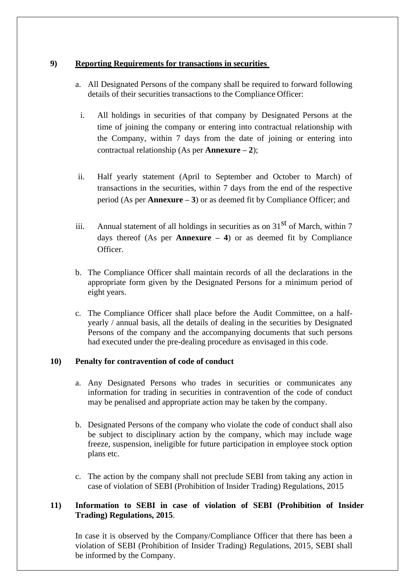## **9) Reporting Requirements for transactions in securities**

- a. All Designated Persons of the company shall be required to forward following details of their securities transactions to the Compliance Officer:
	- i. All holdings in securities of that company by Designated Persons at the time of joining the company or entering into contractual relationship with the Company, within 7 days from the date of joining or entering into contractual relationship (As per **Annexure – 2**);
- ii. Half yearly statement (April to September and October to March) of transactions in the securities, within 7 days from the end of the respective period (As per **Annexure – 3**) or as deemed fit by Compliance Officer; and
- iii. Annual statement of all holdings in securities as on  $31<sup>st</sup>$  of March, within 7 days thereof (As per **Annexure – 4**) or as deemed fit by Compliance Officer.
- b. The Compliance Officer shall maintain records of all the declarations in the appropriate form given by the Designated Persons for a minimum period of eight years.
- c. The Compliance Officer shall place before the Audit Committee, on a halfyearly / annual basis, all the details of dealing in the securities by Designated Persons of the company and the accompanying documents that such persons had executed under the pre-dealing procedure as envisaged in this code.

## **10) Penalty for contravention of code of conduct**

- a. Any Designated Persons who trades in securities or communicates any information for trading in securities in contravention of the code of conduct may be penalised and appropriate action may be taken by the company.
- b. Designated Persons of the company who violate the code of conduct shall also be subject to disciplinary action by the company, which may include wage freeze, suspension, ineligible for future participation in employee stock option plans etc.
- c. The action by the company shall not preclude SEBI from taking any action in case of violation of SEBI (Prohibition of Insider Trading) Regulations, 2015

## **11) Information to SEBI in case of violation of SEBI (Prohibition of Insider Trading) Regulations, 2015**.

In case it is observed by the Company/Compliance Officer that there has been a violation of SEBI (Prohibition of Insider Trading) Regulations, 2015, SEBI shall be informed by the Company.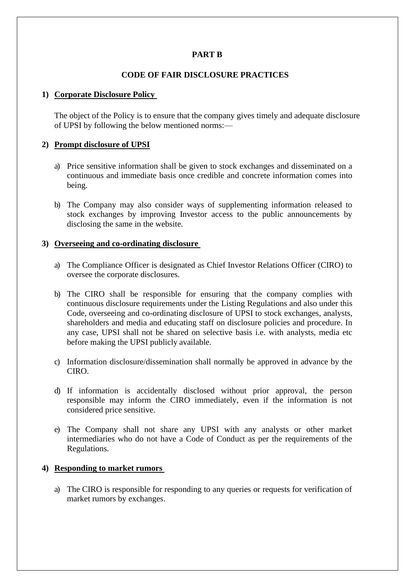## **PART B**

## **CODE OF FAIR DISCLOSURE PRACTICES**

#### **1) Corporate Disclosure Policy**

The object of the Policy is to ensure that the company gives timely and adequate disclosure of UPSI by following the below mentioned norms:—

#### **2) Prompt disclosure of UPSI**

- a) Price sensitive information shall be given to stock exchanges and disseminated on a continuous and immediate basis once credible and concrete information comes into being.
- b) The Company may also consider ways of supplementing information released to stock exchanges by improving Investor access to the public announcements by disclosing the same in the website.

#### **3) Overseeing and co-ordinating disclosure**

- a) The Compliance Officer is designated as Chief Investor Relations Officer (CIRO) to oversee the corporate disclosures.
- b) The CIRO shall be responsible for ensuring that the company complies with continuous disclosure requirements under the Listing Regulations and also under this Code, overseeing and co-ordinating disclosure of UPSI to stock exchanges, analysts, shareholders and media and educating staff on disclosure policies and procedure. In any case, UPSI shall not be shared on selective basis i.e. with analysts, media etc before making the UPSI publicly available.
- c) Information disclosure/dissemination shall normally be approved in advance by the CIRO.
- d) If information is accidentally disclosed without prior approval, the person responsible may inform the CIRO immediately, even if the information is not considered price sensitive.
- e) The Company shall not share any UPSI with any analysts or other market intermediaries who do not have a Code of Conduct as per the requirements of the Regulations.

#### **4) Responding to market rumors**

a) The CIRO is responsible for responding to any queries or requests for verification of market rumors by exchanges.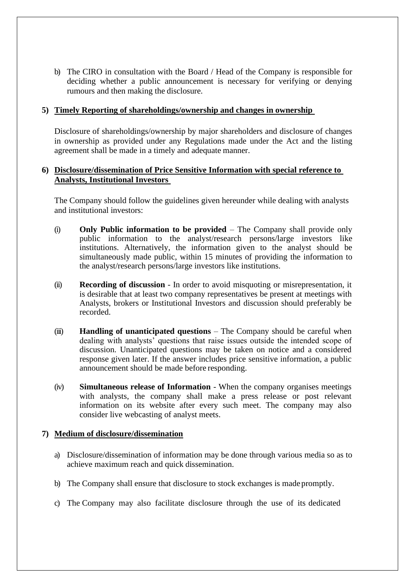b) The CIRO in consultation with the Board / Head of the Company is responsible for deciding whether a public announcement is necessary for verifying or denying rumours and then making the disclosure.

#### **5) Timely Reporting of shareholdings/ownership and changes in ownership**

Disclosure of shareholdings/ownership by major shareholders and disclosure of changes in ownership as provided under any Regulations made under the Act and the listing agreement shall be made in a timely and adequate manner.

## **6) Disclosure/dissemination of Price Sensitive Information with special reference to Analysts, Institutional Investors**

The Company should follow the guidelines given hereunder while dealing with analysts and institutional investors:

- (i) **Only Public information to be provided**  The Company shall provide only public information to the analyst/research persons/large investors like institutions. Alternatively, the information given to the analyst should be simultaneously made public, within 15 minutes of providing the information to the analyst/research persons/large investors like institutions.
- (ii) **Recording of discussion**  In order to avoid misquoting or misrepresentation, it is desirable that at least two company representatives be present at meetings with Analysts, brokers or Institutional Investors and discussion should preferably be recorded.
- (iii) **Handling of unanticipated questions**  The Company should be careful when dealing with analysts' questions that raise issues outside the intended scope of discussion. Unanticipated questions may be taken on notice and a considered response given later. If the answer includes price sensitive information, a public announcement should be made before responding.
- (iv) **Simultaneous release of Information**  When the company organises meetings with analysts, the company shall make a press release or post relevant information on its website after every such meet. The company may also consider live webcasting of analyst meets.

#### **7) Medium of disclosure/dissemination**

- a) Disclosure/dissemination of information may be done through various media so as to achieve maximum reach and quick dissemination.
- b) The Company shall ensure that disclosure to stock exchanges is made promptly.
- c) The Company may also facilitate disclosure through the use of its dedicated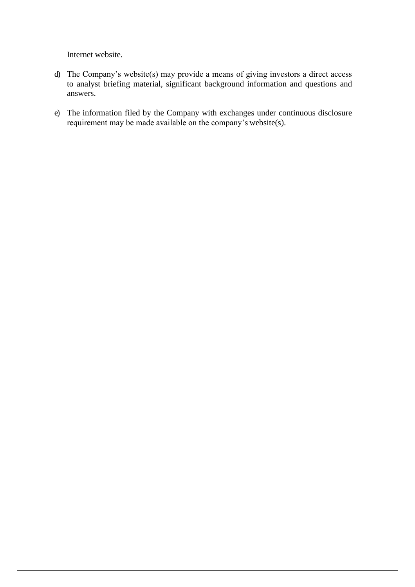Internet website.

- d) The Company's website(s) may provide a means of giving investors a direct access to analyst briefing material, significant background information and questions and answers.
- e) The information filed by the Company with exchanges under continuous disclosure requirement may be made available on the company's website(s).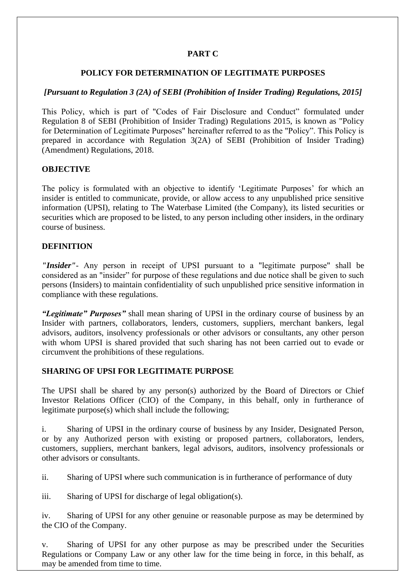## **PART C**

## **POLICY FOR DETERMINATION OF LEGITIMATE PURPOSES**

## *[Pursuant to Regulation 3 (2A) of SEBI (Prohibition of Insider Trading) Regulations, 2015]*

This Policy, which is part of "Codes of Fair Disclosure and Conduct" formulated under Regulation 8 of SEBI (Prohibition of Insider Trading) Regulations 2015, is known as "Policy for Determination of Legitimate Purposes" hereinafter referred to as the "Policy". This Policy is prepared in accordance with Regulation 3(2A) of SEBI (Prohibition of Insider Trading) (Amendment) Regulations, 2018.

## **OBJECTIVE**

The policy is formulated with an objective to identify 'Legitimate Purposes' for which an insider is entitled to communicate, provide, or allow access to any unpublished price sensitive information (UPSI), relating to The Waterbase Limited (the Company), its listed securities or securities which are proposed to be listed, to any person including other insiders, in the ordinary course of business.

## **DEFINITION**

*"Insider"*‐ Any person in receipt of UPSI pursuant to a "legitimate purpose" shall be considered as an "insider" for purpose of these regulations and due notice shall be given to such persons (Insiders) to maintain confidentiality of such unpublished price sensitive information in compliance with these regulations.

*"Legitimate" Purposes"* shall mean sharing of UPSI in the ordinary course of business by an Insider with partners, collaborators, lenders, customers, suppliers, merchant bankers, legal advisors, auditors, insolvency professionals or other advisors or consultants, any other person with whom UPSI is shared provided that such sharing has not been carried out to evade or circumvent the prohibitions of these regulations.

## **SHARING OF UPSI FOR LEGITIMATE PURPOSE**

The UPSI shall be shared by any person(s) authorized by the Board of Directors or Chief Investor Relations Officer (CIO) of the Company, in this behalf, only in furtherance of legitimate purpose(s) which shall include the following;

i. Sharing of UPSI in the ordinary course of business by any Insider, Designated Person, or by any Authorized person with existing or proposed partners, collaborators, lenders, customers, suppliers, merchant bankers, legal advisors, auditors, insolvency professionals or other advisors or consultants.

ii. Sharing of UPSI where such communication is in furtherance of performance of duty

iii. Sharing of UPSI for discharge of legal obligation(s).

iv. Sharing of UPSI for any other genuine or reasonable purpose as may be determined by the CIO of the Company.

v. Sharing of UPSI for any other purpose as may be prescribed under the Securities Regulations or Company Law or any other law for the time being in force, in this behalf, as may be amended from time to time.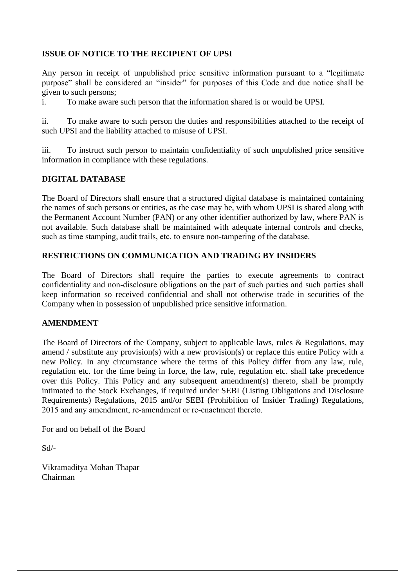## **ISSUE OF NOTICE TO THE RECIPIENT OF UPSI**

Any person in receipt of unpublished price sensitive information pursuant to a "legitimate purpose" shall be considered an "insider" for purposes of this Code and due notice shall be given to such persons;

i. To make aware such person that the information shared is or would be UPSI.

ii. To make aware to such person the duties and responsibilities attached to the receipt of such UPSI and the liability attached to misuse of UPSI.

iii. To instruct such person to maintain confidentiality of such unpublished price sensitive information in compliance with these regulations.

## **DIGITAL DATABASE**

The Board of Directors shall ensure that a structured digital database is maintained containing the names of such persons or entities, as the case may be, with whom UPSI is shared along with the Permanent Account Number (PAN) or any other identifier authorized by law, where PAN is not available. Such database shall be maintained with adequate internal controls and checks, such as time stamping, audit trails, etc. to ensure non-tampering of the database.

## **RESTRICTIONS ON COMMUNICATION AND TRADING BY INSIDERS**

The Board of Directors shall require the parties to execute agreements to contract confidentiality and non‐disclosure obligations on the part of such parties and such parties shall keep information so received confidential and shall not otherwise trade in securities of the Company when in possession of unpublished price sensitive information.

## **AMENDMENT**

The Board of Directors of the Company, subject to applicable laws, rules & Regulations, may amend / substitute any provision(s) with a new provision(s) or replace this entire Policy with a new Policy. In any circumstance where the terms of this Policy differ from any law, rule, regulation etc. for the time being in force, the law, rule, regulation etc. shall take precedence over this Policy. This Policy and any subsequent amendment(s) thereto, shall be promptly intimated to the Stock Exchanges, if required under SEBI (Listing Obligations and Disclosure Requirements) Regulations, 2015 and/or SEBI (Prohibition of Insider Trading) Regulations, 2015 and any amendment, re-amendment or re-enactment thereto.

For and on behalf of the Board

Sd/-

Vikramaditya Mohan Thapar Chairman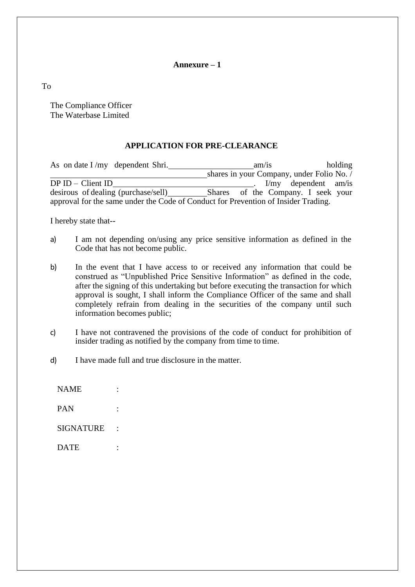#### **Annexure – 1**

To

The Compliance Officer The Waterbase Limited

#### **APPLICATION FOR PRE-CLEARANCE**

As on date I /my dependent Shri. am/is holding shares in your Company, under Folio No. / DP ID – Client ID . I/my dependent am/is desirous of dealing (purchase/sell) Shares approval for the same under the Code of Conduct for Prevention of Insider Trading.

I hereby state that--

- a) I am not depending on/using any price sensitive information as defined in the Code that has not become public.
- b) In the event that I have access to or received any information that could be construed as "Unpublished Price Sensitive Information" as defined in the code, after the signing of this undertaking but before executing the transaction for which approval is sought, I shall inform the Compliance Officer of the same and shall completely refrain from dealing in the securities of the company until such information becomes public;
- c) I have not contravened the provisions of the code of conduct for prohibition of insider trading as notified by the company from time to time.
- d) I have made full and true disclosure in the matter.

NAME : PAN : SIGNATURE : DATE :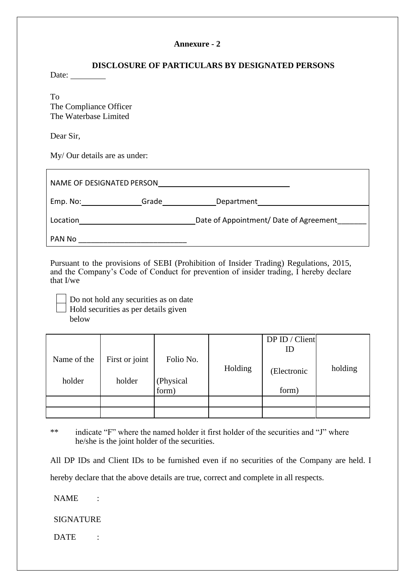#### **Annexure - 2**

## **DISCLOSURE OF PARTICULARS BY DESIGNATED PERSONS**

Date:

To The Compliance Officer The Waterbase Limited

Dear Sir,

My/ Our details are as under:

| NAME OF DESIGNATED PERSON |       |                                        |
|---------------------------|-------|----------------------------------------|
| Emp. No:                  | Grade | Department                             |
| Location                  |       | Date of Appointment/ Date of Agreement |
| PAN No                    |       |                                        |

Pursuant to the provisions of SEBI (Prohibition of Insider Trading) Regulations, 2015, and the Company's Code of Conduct for prevention of insider trading, I hereby declare that I/we

Do not hold any securities as on date Hold securities as per details given below

|             |                |                    |         | DPID / Client<br>ID |         |
|-------------|----------------|--------------------|---------|---------------------|---------|
| Name of the | First or joint | Folio No.          | Holding | (Electronic         | holding |
| holder      | holder         | (Physical<br>form) |         | form)               |         |
|             |                |                    |         |                     |         |
|             |                |                    |         |                     |         |

\*\* indicate "F" where the named holder it first holder of the securities and "J" where he/she is the joint holder of the securities.

All DP IDs and Client IDs to be furnished even if no securities of the Company are held. I hereby declare that the above details are true, correct and complete in all respects.

NAME :

SIGNATURE

DATE :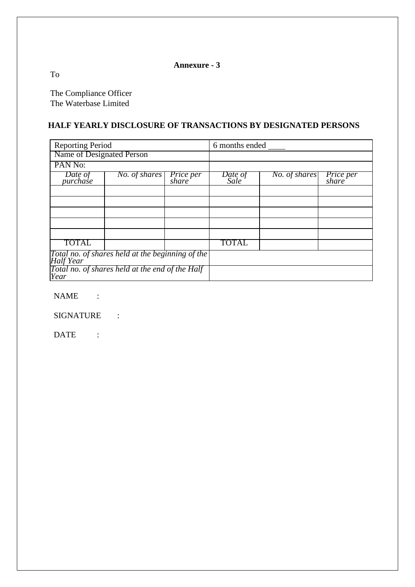## **Annexure - 3**

To

The Compliance Officer The Waterbase Limited

## **HALF YEARLY DISCLOSURE OF TRANSACTIONS BY DESIGNATED PERSONS**

| <b>Reporting Period</b>   |                                                  | 6 months ended            |                 |               |                           |
|---------------------------|--------------------------------------------------|---------------------------|-----------------|---------------|---------------------------|
| Name of Designated Person |                                                  |                           |                 |               |                           |
| PAN No:                   |                                                  |                           |                 |               |                           |
| Date of<br>purchase       | $No.$ of shares                                  | <i>Price per</i><br>share | Date of<br>Sale | No. of shares | <i>Price per</i><br>share |
|                           |                                                  |                           |                 |               |                           |
|                           |                                                  |                           |                 |               |                           |
|                           |                                                  |                           |                 |               |                           |
|                           |                                                  |                           |                 |               |                           |
|                           |                                                  |                           |                 |               |                           |
| <b>TOTAL</b>              |                                                  |                           | <b>TOTAL</b>    |               |                           |
| <b>Half</b> Year          | Total no. of shares held at the beginning of the |                           |                 |               |                           |
| Year                      | Total no. of shares held at the end of the Half  |                           |                 |               |                           |

NAME :

SIGNATURE :

DATE :